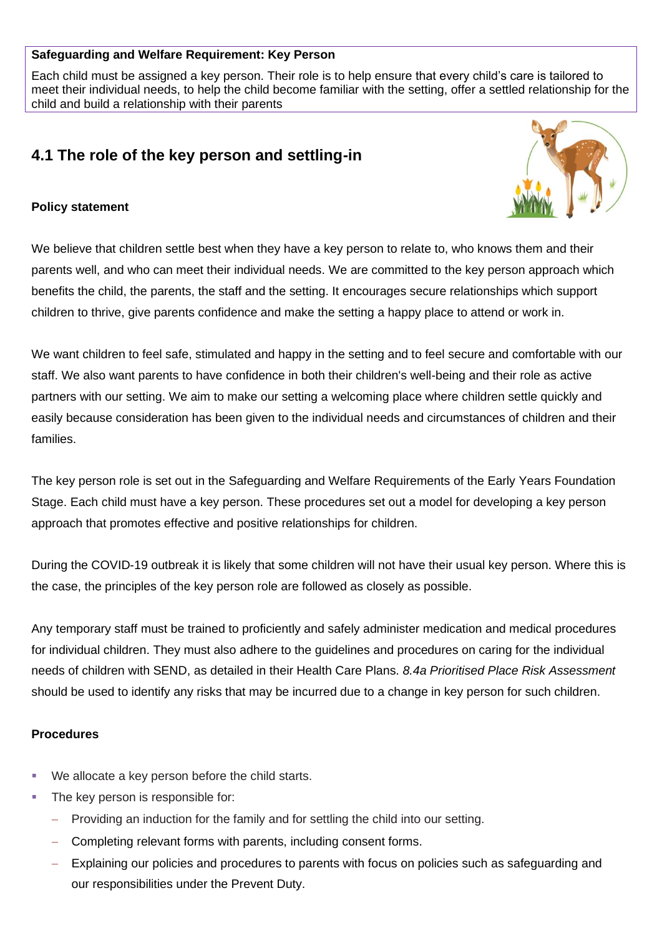## **Safeguarding and Welfare Requirement: Key Person**

Each child must be assigned a key person. Their role is to help ensure that every child's care is tailored to meet their individual needs, to help the child become familiar with the setting, offer a settled relationship for the child and build a relationship with their parents

# **4.1 The role of the key person and settling-in**

## **Policy statement**



We believe that children settle best when they have a key person to relate to, who knows them and their parents well, and who can meet their individual needs. We are committed to the key person approach which benefits the child, the parents, the staff and the setting. It encourages secure relationships which support children to thrive, give parents confidence and make the setting a happy place to attend or work in.

We want children to feel safe, stimulated and happy in the setting and to feel secure and comfortable with our staff. We also want parents to have confidence in both their children's well-being and their role as active partners with our setting. We aim to make our setting a welcoming place where children settle quickly and easily because consideration has been given to the individual needs and circumstances of children and their families.

The key person role is set out in the Safeguarding and Welfare Requirements of the Early Years Foundation Stage. Each child must have a key person. These procedures set out a model for developing a key person approach that promotes effective and positive relationships for children.

During the COVID-19 outbreak it is likely that some children will not have their usual key person. Where this is the case, the principles of the key person role are followed as closely as possible.

Any temporary staff must be trained to proficiently and safely administer medication and medical procedures for individual children. They must also adhere to the guidelines and procedures on caring for the individual needs of children with SEND, as detailed in their Health Care Plans. *8.4a Prioritised Place Risk Assessment*  should be used to identify any risks that may be incurred due to a change in key person for such children.

#### **Procedures**

- We allocate a key person before the child starts.
- The key person is responsible for:
	- − Providing an induction for the family and for settling the child into our setting.
	- Completing relevant forms with parents, including consent forms.
	- Explaining our policies and procedures to parents with focus on policies such as safeguarding and our responsibilities under the Prevent Duty.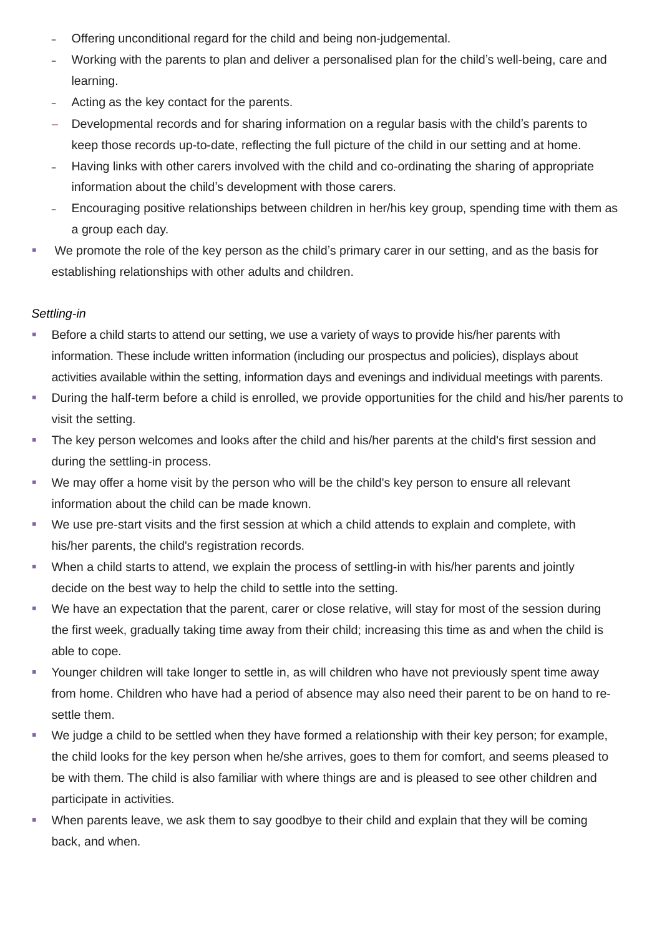- ‒ Offering unconditional regard for the child and being non-judgemental.
- ‒ Working with the parents to plan and deliver a personalised plan for the child's well-being, care and learning.
- Acting as the key contact for the parents.
- Developmental records and for sharing information on a regular basis with the child's parents to keep those records up-to-date, reflecting the full picture of the child in our setting and at home.
- Having links with other carers involved with the child and co-ordinating the sharing of appropriate information about the child's development with those carers.
- ‒ Encouraging positive relationships between children in her/his key group, spending time with them as a group each day.
- We promote the role of the key person as the child's primary carer in our setting, and as the basis for establishing relationships with other adults and children.

# *Settling-in*

- Before a child starts to attend our setting, we use a variety of ways to provide his/her parents with information. These include written information (including our prospectus and policies), displays about activities available within the setting, information days and evenings and individual meetings with parents.
- During the half-term before a child is enrolled, we provide opportunities for the child and his/her parents to visit the setting.
- The key person welcomes and looks after the child and his/her parents at the child's first session and during the settling-in process.
- We may offer a home visit by the person who will be the child's key person to ensure all relevant information about the child can be made known.
- We use pre-start visits and the first session at which a child attends to explain and complete, with his/her parents, the child's registration records.
- When a child starts to attend, we explain the process of settling-in with his/her parents and jointly decide on the best way to help the child to settle into the setting.
- We have an expectation that the parent, carer or close relative, will stay for most of the session during the first week, gradually taking time away from their child; increasing this time as and when the child is able to cope.
- Younger children will take longer to settle in, as will children who have not previously spent time away from home. Children who have had a period of absence may also need their parent to be on hand to resettle them.
- We judge a child to be settled when they have formed a relationship with their key person; for example, the child looks for the key person when he/she arrives, goes to them for comfort, and seems pleased to be with them. The child is also familiar with where things are and is pleased to see other children and participate in activities.
- When parents leave, we ask them to say goodbye to their child and explain that they will be coming back, and when.